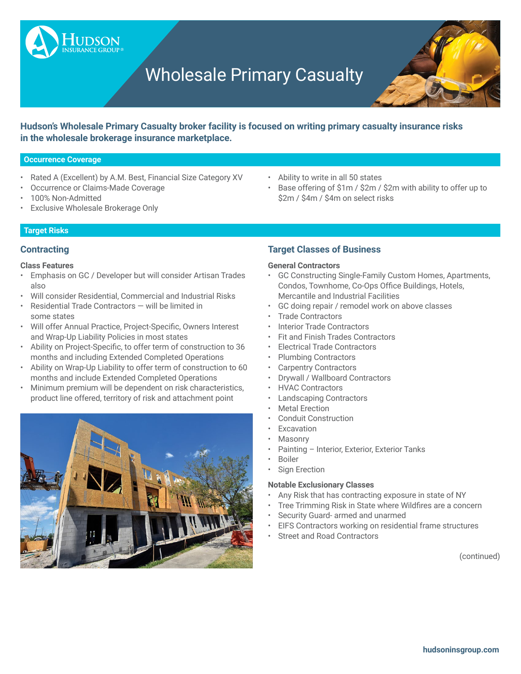# Wholesale Primary Casualty



**Hudson's Wholesale Primary Casualty broker facility is focused on writing primary casualty insurance risks in the wholesale brokerage insurance marketplace.**

## **Occurrence Coverage**

- Rated A (Excellent) by A.M. Best, Financial Size Category XV
- Occurrence or Claims-Made Coverage

**UDSON** 

- 100% Non-Admitted
- **Exclusive Wholesale Brokerage Only**

# **Target Risks**

# **Contracting**

# **Class Features**

- Emphasis on GC / Developer but will consider Artisan Trades also
- Will consider Residential, Commercial and Industrial Risks
- Residential Trade Contractors will be limited in some states
- • Will offer Annual Practice, Project-Specific, Owners Interest and Wrap-Up Liability Policies in most states
- • Ability on Project-Specific, to offer term of construction to 36 months and including Extended Completed Operations
- • Ability on Wrap-Up Liability to offer term of construction to 60 months and include Extended Completed Operations
- Minimum premium will be dependent on risk characteristics, product line offered, territory of risk and attachment point



# • Ability to write in all 50 states

Base offering of \$1m / \$2m / \$2m with ability to offer up to \$2m / \$4m / \$4m on select risks

# **Target Classes of Business**

# **General Contractors**

- GC Constructing Single-Family Custom Homes, Apartments, Condos, Townhome, Co-Ops Office Buildings, Hotels, Mercantile and Industrial Facilities
- GC doing repair / remodel work on above classes
- Trade Contractors
- Interior Trade Contractors
- Fit and Finish Trades Contractors
- Electrical Trade Contractors
- Plumbing Contractors
- Carpentry Contractors
- Drywall / Wallboard Contractors
- HVAC Contractors
- Landscaping Contractors
- **Metal Erection**
- Conduit Construction
- **Excavation**
- **Masonry**
- Painting Interior, Exterior, Exterior Tanks
- **Boiler**
- Sign Erection

#### **Notable Exclusionary Classes**

- Any Risk that has contracting exposure in state of NY
- Tree Trimming Risk in State where Wildfires are a concern
- Security Guard- armed and unarmed
- EIFS Contractors working on residential frame structures
- Street and Road Contractors

(continued)